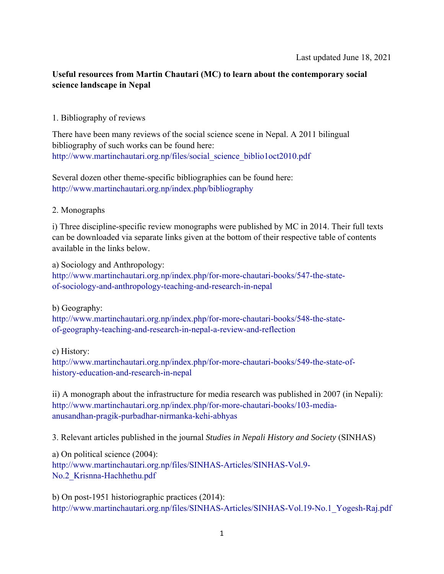## **Useful resources from Martin Chautari (MC) to learn about the contemporary social science landscape in Nepal**

## 1. Bibliography of reviews

There have been many reviews of the social science scene in Nepal. A 2011 bilingual bibliography of such works can be found here: [http://www.martinchautari.org.np/files/social\\_science\\_biblio1oct2010.pdf](http://www.martinchautari.org.np/files/social_science_biblio1oct2010.pdf)

Several dozen other theme-specific bibliographies can be found here: <http://www.martinchautari.org.np/index.php/bibliography>

## 2. Monographs

i) Three discipline-specific review monographs were published by MC in 2014. Their full texts can be downloaded via separate links given at the bottom of their respective table of contents available in the links below.

a) Sociology and Anthropology: [http://www.martinchautari.org.np/index.php/for-more-chautari-books/547-the-state](http://www.martinchautari.org.np/index.php/for-more-chautari-books/547-the-state-ofsociology-and-anthropology-teaching-and-research-in-nepal)of-sociology-and-anthropology-teaching-and-research-in-nepal

b) Geography:

[http://www.martinchautari.org.np/index.php/for-more-chautari-books/548-the-state](http://www.martinchautari.org.np/index.php/for-more-chautari-books/548-the-state-ofgeography-teaching-and-research-in-nepal-a-review-and-reflection)of-geography-teaching-and-research-in-nepal-a-review-and-reflection

c) History:

[http://www.martinchautari.org.np/index.php/for-more-chautari-books/549-the-state-of](http://www.martinchautari.org.np/index.php/for-more-chautari-books/549-the-state-of-historyeducation-and-research-in-nepal)history-education-and-research-in-nepal

ii) A monograph about the infrastructure for media research was published in 2007 (in Nepali): [http://www.martinchautari.org.np/index.php/for-more-chautari-books/103-media](http://www.martinchautari.org.np/index.php/for-more-chautari-books/103-media-anusandhanpragik-purbadhar-nirmanka-kehi-abhyas)anusandhan-pragik-purbadhar-nirmanka-kehi-abhyas

3. Relevant articles published in the journal *Studies in Nepali History and Society* (SINHAS)

a) On political science (2004): [http://www.martinchautari.org.np/files/SINHAS-Articles/SINHAS-Vol.9-](http://www.martinchautari.org.np/files/SINHAS-Articles/SINHAS-Vol.9-No.2_Krisnna-Hachhethu.pdf) No.2\_Krisnna-Hachhethu.pdf

b) On post-1951 historiographic practices (2014): [http://www.martinchautari.org.np/files/SINHAS-Articles/SINHAS-Vol.19-No.1\\_Yogesh-Raj.pdf](http://www.martinchautari.org.np/files/SINHAS-Articles/SINHAS-Vol.19-No.1_Yogesh-Raj.pdf)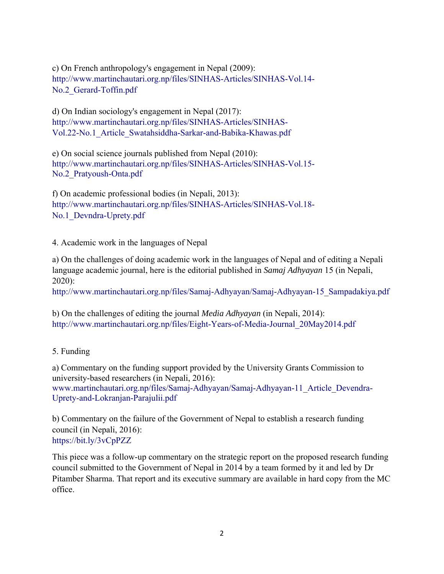c) On French anthropology's engagement in Nepal (2009): [http://www.martinchautari.org.np/files/SINHAS-Articles/SINHAS-Vol.14-](http://www.martinchautari.org.np/files/SINHAS-Articles/SINHAS-Vol.14-No.2_Gerard-Toffin.pdf) No.2\_Gerard-Toffin.pdf

d) On Indian sociology's engagement in Nepal (2017): http://www.martinchautari.org.np/files/SINHAS-Articles/SINHAS-[Vol.22-No.1\\_Article\\_Swatahsiddha-Sarkar-and-Babika-Khawas.pdf](http://www.martinchautari.org.np/files/SINHAS-Articles/SINHAS-Vol.22-No.1_Article_Swatahsiddha-Sarkar-and-Babika-Khawas.pdf)

e) On social science journals published from Nepal (2010): [http://www.martinchautari.org.np/files/SINHAS-Articles/SINHAS-Vol.15-](http://www.martinchautari.org.np/files/SINHAS-Articles/SINHAS-Vol.15-No.2_Pratyoush-Onta.pdf) No.2\_Pratyoush-Onta.pdf

f) On academic professional bodies (in Nepali, 2013): [http://www.martinchautari.org.np/files/SINHAS-Articles/SINHAS-Vol.18-](http://www.martinchautari.org.np/files/SINHAS-Articles/SINHAS-Vol.18-No.1_Devndra-Uprety.pdf) No.1 Devndra-Uprety.pdf

4. Academic work in the languages of Nepal

a) On the challenges of doing academic work in the languages of Nepal and of editing a Nepali language academic journal, here is the editorial published in *Samaj Adhyayan* 15 (in Nepali, 2020):

[http://www.martinchautari.org.np/files/Samaj-Adhyayan/Samaj-Adhyayan-15\\_Sampadakiya.pdf](http://www.martinchautari.org.np/files/Samaj-Adhyayan/Samaj-Adhyayan-15_Sampadakiya.pdf)

b) On the challenges of editing the journal *Media Adhyayan* (in Nepali, 2014): [http://www.martinchautari.org.np/files/Eight-Years-of-Media-Journal\\_20May2014.pdf](http://www.martinchautari.org.np/files/Eight-Years-of-Media-Journal_20May2014.pdf)

## 5. Funding

a) Commentary on the funding support provided by the University Grants Commission to university-based researchers (in Nepali, 2016): [www.martinchautari.org.np/files/Samaj-Adhyayan/Samaj-Adhyayan-11\\_Article\\_Devendra-](www.martinchautari.org.np/files/Samaj-Adhyayan/Samaj-Adhyayan-11_Article_Devendra-Uprety-and-Lokranjan-Parajulii.pdf)Uprety-and-Lokranjan-Parajulii.pdf

b) Commentary on the failure of the Government of Nepal to establish a research funding council (in Nepali, 2016): <https://bit.ly/3vCpPZZ>

This piece was a follow-up commentary on the strategic report on the proposed research funding council submitted to the Government of Nepal in 2014 by a team formed by it and led by Dr Pitamber Sharma. That report and its executive summary are available in hard copy from the MC office.